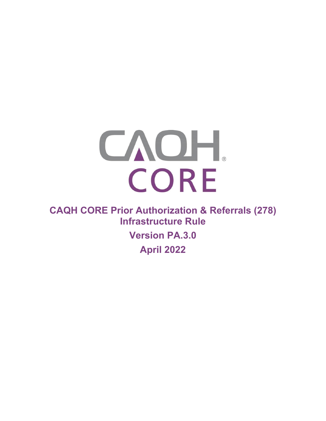

**CAQH CORE Prior Authorization & Referrals (278) Infrastructure Rule** 

> **Version PA.3.0 April 2022**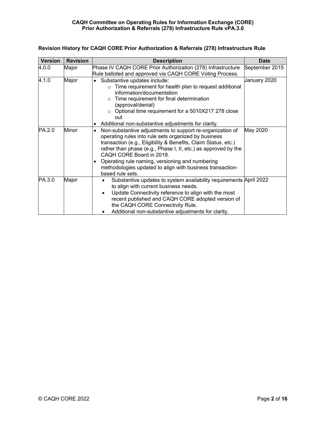| <b>Version</b> | <b>Revision</b> | <b>Description</b>                                                                                                                                                                                                                                                                                                                                                                                                         | <b>Date</b>    |
|----------------|-----------------|----------------------------------------------------------------------------------------------------------------------------------------------------------------------------------------------------------------------------------------------------------------------------------------------------------------------------------------------------------------------------------------------------------------------------|----------------|
| 4.0.0          | Major           | Phase IV CAQH CORE Prior Authorization (278) Infrastructure<br>Rule balloted and approved via CAQH CORE Voting Process.                                                                                                                                                                                                                                                                                                    | September 2015 |
| 4.1.0          | Major           | Substantive updates include:<br>$\bullet$<br>$\circ$ Time requirement for health plan to request additional<br>information/documentation<br>$\circ$ Time requirement for final determination<br>(approval/denial)<br>o Optional time requirement for a 5010X217 278 close<br>out<br>Additional non-substantive adjustments for clarity.<br>٠                                                                               | January 2020   |
| PA.2.0         | Minor           | Non-substantive adjustments to support re-organization of<br>operating rules into rule sets organized by business<br>transaction (e.g., Eligibility & Benefits, Claim Status, etc.)<br>rather than phase (e.g., Phase I, II, etc.) as approved by the<br>CAQH CORE Board in 2019.<br>Operating rule naming, versioning and numbering<br>٠<br>methodologies updated to align with business transaction-<br>based rule sets. | May 2020       |
| PA.3.0         | Major           | Substantive updates to system availability requirements April 2022<br>to align with current business needs.<br>Update Connectivity reference to align with the most<br>$\bullet$<br>recent published and CAQH CORE adopted version of<br>the CAQH CORE Connectivity Rule.<br>Additional non-substantive adjustments for clarity.                                                                                           |                |

# **Revision History for CAQH CORE Prior Authorization & Referrals (278) Infrastructure Rule**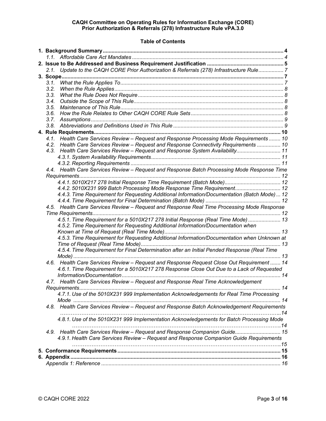# **Table of Contents**

| 2.1. Update to the CAQH CORE Prior Authorization & Referrals (278) Infrastructure Rule 7    |  |  |  |  |  |
|---------------------------------------------------------------------------------------------|--|--|--|--|--|
|                                                                                             |  |  |  |  |  |
|                                                                                             |  |  |  |  |  |
| 3.2.                                                                                        |  |  |  |  |  |
| 3.3.                                                                                        |  |  |  |  |  |
| 3.4.                                                                                        |  |  |  |  |  |
| 3.5.                                                                                        |  |  |  |  |  |
|                                                                                             |  |  |  |  |  |
|                                                                                             |  |  |  |  |  |
|                                                                                             |  |  |  |  |  |
|                                                                                             |  |  |  |  |  |
| 4.1. Health Care Services Review - Request and Response Processing Mode Requirements  10    |  |  |  |  |  |
| 4.2. Health Care Services Review - Request and Response Connectivity Requirements  10       |  |  |  |  |  |
| 4.3. Health Care Services Review - Request and Response System Availability 11              |  |  |  |  |  |
|                                                                                             |  |  |  |  |  |
|                                                                                             |  |  |  |  |  |
| 4.4. Health Care Services Review - Request and Response Batch Processing Mode Response Time |  |  |  |  |  |
|                                                                                             |  |  |  |  |  |
| 4.4.1.5010X217 278 Initial Response Time Requirement (Batch Mode) 12                        |  |  |  |  |  |
| 4.4.2. 5010X231 999 Batch Processing Mode Response Time Requirement 12                      |  |  |  |  |  |
| 4.4.3. Time Requirement for Requesting Additional Information/Documentation (Batch Mode) 12 |  |  |  |  |  |
|                                                                                             |  |  |  |  |  |
| 4.5. Health Care Services Review - Request and Response Real Time Processing Mode Response  |  |  |  |  |  |
|                                                                                             |  |  |  |  |  |
| 4.5.1. Time Requirement for a 5010X217 278 Initial Response (Real Time Mode)  13            |  |  |  |  |  |
| 4.5.2. Time Requirement for Requesting Additional Information/Documentation when            |  |  |  |  |  |
|                                                                                             |  |  |  |  |  |
| 4.5.3. Time Requirement for Requesting Additional Information/Documentation when Unknown at |  |  |  |  |  |
|                                                                                             |  |  |  |  |  |
| 4.5.4. Time Requirement for Final Determination after an Initial Pended Response (Real Time |  |  |  |  |  |
|                                                                                             |  |  |  |  |  |
| 4.6. Health Care Services Review - Request and Response Request Close Out Requirement  14   |  |  |  |  |  |
| 4.6.1. Time Requirement for a 5010X217 278 Response Close Out Due to a Lack of Requested    |  |  |  |  |  |
|                                                                                             |  |  |  |  |  |
|                                                                                             |  |  |  |  |  |
| 4.7. Health Care Services Review - Request and Response Real Time Acknowledgement           |  |  |  |  |  |
|                                                                                             |  |  |  |  |  |
| 4.7.1. Use of the 5010X231 999 Implementation Acknowledgements for Real Time Processing     |  |  |  |  |  |
|                                                                                             |  |  |  |  |  |
| 4.8. Health Care Services Review - Request and Response Batch Acknowledgement Requirements  |  |  |  |  |  |
|                                                                                             |  |  |  |  |  |
| 4.8.1. Use of the 5010X231 999 Implementation Acknowledgements for Batch Processing Mode    |  |  |  |  |  |
|                                                                                             |  |  |  |  |  |
| 4.9. Health Care Services Review - Request and Response Companion Guide 15                  |  |  |  |  |  |
| 4.9.1. Health Care Services Review - Request and Response Companion Guide Requirements      |  |  |  |  |  |
|                                                                                             |  |  |  |  |  |
|                                                                                             |  |  |  |  |  |
|                                                                                             |  |  |  |  |  |
|                                                                                             |  |  |  |  |  |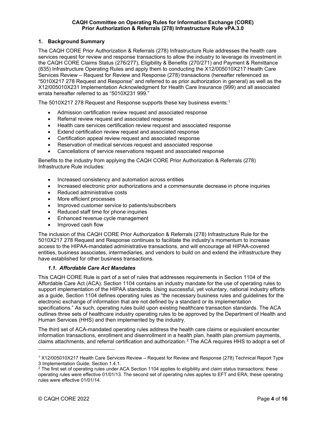# <span id="page-3-0"></span>**1. Background Summary**

The CAQH CORE Prior Authorization & Referrals (278) Infrastructure Rule addresses the health care services request for review and response transactions to allow the industry to leverage its investment in the CAQH CORE Claims Status (276/277), Eligibility & Benefits (270/271) and Payment & Remittance (835) Infrastructure Operating Rules and apply them to conducting the X12/005010X217 Health Care Services Review – Request for Review and Response (278) transactions (hereafter referenced as "5010X217 278 Request and Response" and referred to as prior authorization in general) as well as the X12/005010X231 Implementation Acknowledgment for Health Care Insurance (999) and all associated errata hereafter referred to as "5010X231 999."

The 50[1](#page-3-2)0X217 278 Request and Response supports these key business events:1

- Admission certification review request and associated response
- Referral review request and associated response
- Health care services certification review request and associated response
- Extend certification review request and associated response
- Certification appeal review request and associated response
- Reservation of medical services request and associated response
- Cancellations of service reservations request and associated response

Benefits to the industry from applying the CAQH CORE Prior Authorization & Referrals (278) Infrastructure Rule includes:

- Increased consistency and automation across entities
- Increased electronic prior authorizations and a commensurate decrease in phone inquiries
- Reduced administrative costs
- More efficient processes
- Improved customer service to patients/subscribers
- Reduced staff time for phone inquiries
- Enhanced revenue cycle management
- Improved cash flow

The inclusion of this CAQH CORE Prior Authorization & Referrals (278) Infrastructure Rule for the 5010X217 278 Request and Response continues to facilitate the industry's momentum to increase access to the HIPAA-mandated administrative transactions, and will encourage all HIPAA-covered entities, business associates, intermediaries, and vendors to build on and extend the infrastructure they have established for other business transactions.

#### *1.1. Affordable Care Act Mandates*

<span id="page-3-1"></span>This CAQH CORE Rule is part of a set of rules that addresses requirements in Section 1104 of the Affordable Care Act (ACA). Section 1104 contains an industry mandate for the use of operating rules to support implementation of the HIPAA standards. Using successful, yet voluntary, national industry efforts as a guide, Section 1104 defines operating rules as "the necessary business rules and guidelines for the electronic exchange of information that are not defined by a standard or its implementation specifications." As such, operating rules build upon existing healthcare transaction standards. The ACA outlines three sets of healthcare industry operating rules to be approved by the Department of Health and Human Services (HHS) and then implemented by the industry.

The third set of ACA-mandated operating rules address the health care claims or equivalent encounter information transactions, enrollment and disenrollment in a health plan, health plan premium payments, claims attachments, and referral certification and authorization.[2](#page-3-3) The ACA requires HHS to adopt a set of

<span id="page-3-2"></span><sup>1</sup> X12/005010X217 Health Care Services Review – Request for Review and Response (278) Technical Report Type 3 Implementation Guide, Section 1.4.1.

<span id="page-3-3"></span><sup>&</sup>lt;sup>2</sup> The first set of operating rules under ACA Section 1104 applies to eligibility and claim status transactions; these operating rules were effective 01/01/13. The second set of operating rules applies to EFT and ERA; these operating rules were effective 01/01/14.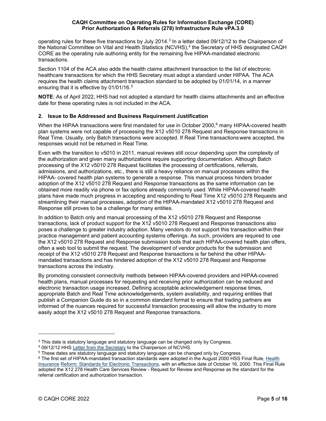operating rules for these five transactions by July 2014.<sup>[3](#page-4-1)</sup> In a letter dated 09/12/12 to the Chairperson of the National Committee on Vital and Health Statistics (NCVHS).<sup>[4](#page-4-2)</sup> the Secretary of HHS designated CAQH CORE as the operating rule authoring entity for the remaining five HIPAA-mandated electronic transactions.

Section 1104 of the ACA also adds the health claims attachment transaction to the list of electronic healthcare transactions for which the HHS Secretary must adopt a standard under HIPAA. The ACA requires the health claims attachment transaction standard to be adopted by 01/01/14, in a manner ensuring that it is effective by 01/01/16.[5](#page-4-3)

**NOTE**: As of April 2022, HHS had not adopted a standard for health claims attachments and an effective date for these operating rules is not included in the ACA.

# <span id="page-4-0"></span>**2. Issue to Be Addressed and Business Requirement Justification**

When the HIPAA transactions were first mandated for use in October 2000,<sup>[6](#page-4-4)</sup> many HIPAA-covered health plan systems were not capable of processing the X12 v5010 278 Request and Response transactions in Real Time. Usually, only Batch transactions were accepted. If Real Time transactionswere accepted, the responses would not be returned in Real Time.

Even with the transition to v5010 in 2011, manual reviews still occur depending upon the complexity of the authorization and given many authorizations require supporting documentation. Although Batch processing of the X12 v5010 278 Request facilitates the processing of certifications, referrals, admissions, and authorizations, etc., there is still a heavy reliance on manual processes within the HIPAA- covered health plan systems to generate a response. This manual process hinders broader adoption of the X12 v5010 278 Request and Response transactions as the same information can be obtained more readily via phone or fax options already commonly used. While HIPAA-covered health plans have made much progress in accepting and responding to Real Time X12 v5010 278 Requests and streamlining their manual processes, adoption of the HIPAA-mandated X12 v5010 278 Request and Response still proves to be a challenge for many entities.

In addition to Batch only and manual processing of the X12 v5010 278 Request and Response transactions, lack of product support for the X12 v5010 278 Request and Response transactions also poses a challenge to greater industry adoption. Many vendors do not support this transaction within their practice management and patient accounting systems offerings. As such, providers are required to use the X12 v5010 278 Request and Response submission tools that each HIPAA-covered health plan offers, often a web tool to submit the request. The development of vendor products for the submission and receipt of the X12 v5010 278 Request and Response transactions is far behind the other HIPAAmandated transactions and has hindered adoption of the X12 v5010 278 Request and Response transactions across the industry.

By promoting consistent connectivity methods between HIPAA-covered providers and HIPAA-covered health plans, manual processes for requesting and receiving prior authorization can be reduced and electronic transaction usage increased. Defining acceptable acknowledgement response times, appropriate Batch and Real Time acknowledgements, system availability, and requiring entities that publish a Companion Guide do so in a common standard format to ensure that trading partners are informed of the nuances required for successful transaction processing will allow the industry to more easily adopt the X12 v5010 278 Request and Response transactions.

<span id="page-4-2"></span><span id="page-4-1"></span> $3$  This date is statutory language and statutory language can be changed only by Congress.  $4$  09/12/12 HHS Letter from the Secretary to the Chairperson of NCVHS.

<span id="page-4-3"></span><sup>&</sup>lt;sup>5</sup> These da[t](http://www.caqh.org/file/4115/download?token=QdUiHJ4r)es are statutory language and statutory language can be changed only by Congress.

<span id="page-4-4"></span><sup>6</sup> The first set of HIPAA-mandated transaction standards were adopted in the August 2000 HSS Final Rule, [Health](http://www.cms.gov/Regulations-and-Guidance/HIPAA-Administrative-Simplification/TransactionCodeSetsStands/Downloads/txfinal.pdf)  [Insurance](http://www.cms.gov/Regulations-and-Guidance/HIPAA-Administrative-Simplification/TransactionCodeSetsStands/Downloads/txfinal.pdf) [Reform: Standards for Electronic Transactions, w](http://www.cms.gov/Regulations-and-Guidance/HIPAA-Administrative-Simplification/TransactionCodeSetsStands/Downloads/txfinal.pdf)ith an effective date of October 16, 2000. This Final Rule adopted the X12 278 Health Care Services Review - Request for Review and Response as the standard for the referral certification and authorization transaction.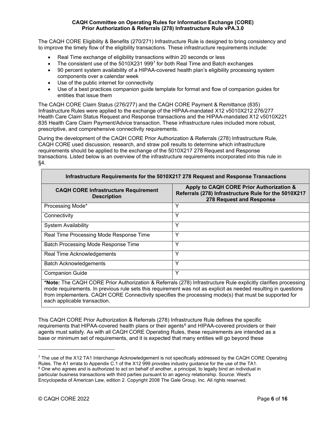The CAQH CORE Eligibility & Benefits (270/271) Infrastructure Rule is designed to bring consistency and to improve the timely flow of the eligibility transactions. These infrastructure requirements include:

- Real Time exchange of eligibility transactions within 20 seconds or less
- The consistent use of the  $5010X2319997$  $5010X2319997$  for both Real Time and Batch exchanges
- 90 percent system availability of a HIPAA-covered health plan's eligibility processing system components over a calendar week
- Use of the public internet for connectivity
- Use of a best practices companion guide template for format and flow of companion guides for entities that issue them

The CAQH CORE Claim Status (276/277) and the CAQH CORE Payment & Remittance (835) Infrastructure Rules were applied to the exchange of the HIPAA-mandated X12 v5010X212 276/277 Health Care Claim Status Request and Response transactions and the HIPAA-mandated X12 v5010X221 835 Health Care Claim Payment/Advice transaction. These infrastructure rules included more robust, prescriptive, and comprehensive connectivity requirements.

During the development of the CAQH CORE Prior Authorization & Referrals (278) Infrastructure Rule, CAQH CORE used discussion, research, and straw poll results to determine which infrastructure requirements should be applied to the exchange of the 5010X217 278 Request and Response transactions. Listed below is an overview of the infrastructure requirements incorporated into this rule in §4.

| Infrastructure Requirements for the 5010X217 278 Request and Response Transactions |                                                                                                                              |  |  |  |
|------------------------------------------------------------------------------------|------------------------------------------------------------------------------------------------------------------------------|--|--|--|
| <b>CAQH CORE Infrastructure Requirement</b><br><b>Description</b>                  | Apply to CAQH CORE Prior Authorization &<br>Referrals (278) Infrastructure Rule for the 5010X217<br>278 Request and Response |  |  |  |
| Processing Mode*                                                                   | Y                                                                                                                            |  |  |  |
| Connectivity                                                                       | Υ                                                                                                                            |  |  |  |
| <b>System Availability</b>                                                         | Y                                                                                                                            |  |  |  |
| Real Time Processing Mode Response Time                                            | Υ                                                                                                                            |  |  |  |
| Batch Processing Mode Response Time                                                | Y                                                                                                                            |  |  |  |
| Real Time Acknowledgements                                                         | Y                                                                                                                            |  |  |  |
| <b>Batch Acknowledgements</b>                                                      | Υ                                                                                                                            |  |  |  |
| <b>Companion Guide</b>                                                             | Y                                                                                                                            |  |  |  |
|                                                                                    | *Note: The CAOH CODE Drior Authorization & Deferrols (278) Infrastructure Pule evolucitly elections processing               |  |  |  |

**\*Note:** The CAQH CORE Prior Authorization & Referrals (278) Infrastructure Rule explicitly clarifies processing mode requirements. In previous rule sets this requirement was not as explicit as needed resulting in questions from implementers. CAQH CORE Connectivity specifies the processing mode(s) that must be supported for each applicable transaction.

This CAQH CORE Prior Authorization & Referrals (278) Infrastructure Rule defines the specific requirements that HIPAA-covered health plans or their agents<sup>[8](#page-5-1)</sup> and HIPAA-covered providers or their agents must satisfy. As with all CAQH CORE Operating Rules, these requirements are intended as a base or minimum set of requirements, and it is expected that many entities will go beyond these

<span id="page-5-1"></span><span id="page-5-0"></span><sup>&</sup>lt;sup>7</sup> The use of the X12 TA1 Interchange Acknowledgement is not specifically addressed by the CAQH CORE Operating Rules. The A1 errata to Appendix C.1 of the X12 999 provides industry guidance for the use of the TA1. <sup>8</sup> One who agrees and is authorized to act on behalf of another, a principal, to legally bind an individual in particular business transactions with third parties pursuant to an agency relationship. Source: West's Encyclopedia of American Law, edition 2. Copyright 2008 The Gale Group, Inc. All rights reserved.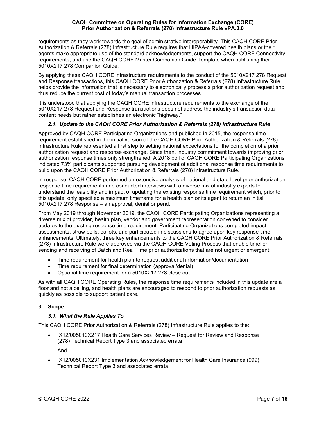requirements as they work towards the goal of administrative interoperability. This CAQH CORE Prior Authorization & Referrals (278) Infrastructure Rule requires that HIPAA-covered health plans or their agents make appropriate use of the standard acknowledgements, support the CAQH CORE Connectivity requirements, and use the CAQH CORE Master Companion Guide Template when publishing their 5010X217 278 Companion Guide.

By applying these CAQH CORE infrastructure requirements to the conduct of the 5010X217 278 Request and Response transactions, this CAQH CORE Prior Authorization & Referrals (278) Infrastructure Rule helps provide the information that is necessary to electronically process a prior authorization request and thus reduce the current cost of today's manual transaction processes.

It is understood that applying the CAQH CORE infrastructure requirements to the exchange of the 5010X217 278 Request and Response transactions does not address the industry's transaction data content needs but rather establishes an electronic "highway."

# *2.1. Update to the CAQH CORE Prior Authorization & Referrals (278) Infrastructure Rule*

<span id="page-6-0"></span>Approved by CAQH CORE Participating Organizations and published in 2015, the response time requirement established in the initial version of the CAQH CORE Prior Authorization & Referrals (278) Infrastructure Rule represented a first step to setting national expectations for the completion of a prior authorization request and response exchange. Since then, industry commitment towards improving prior authorization response times only strengthened. A 2018 poll of CAQH CORE Participating Organizations indicated 73% participants supported pursuing development of additional response time requirements to build upon the CAQH CORE Prior Authorization & Referrals (278) Infrastructure Rule.

In response, CAQH CORE performed an extensive analysis of national and state-level prior authorization response time requirements and conducted interviews with a diverse mix of industry experts to understand the feasibility and impact of updating the existing response time requirement which, prior to this update, only specified a maximum timeframe for a health plan or its agent to return an initial 5010X217 278 Response – an approval, denial or pend.

From May 2019 through November 2019, the CAQH CORE Participating Organizations representing a diverse mix of provider, health plan, vendor and government representation convened to consider updates to the existing response time requirement. Participating Organizations completed impact assessments, straw polls, ballots, and participated in discussions to agree upon key response time enhancements. Ultimately, three key enhancements to the CAQH CORE Prior Authorization & Referrals (278) Infrastructure Rule were approved via the CAQH CORE Voting Process that enable timelier sending and receiving of Batch and Real Time prior authorizations that are not urgent or emergent:

- Time requirement for health plan to request additional information/documentation
- Time requirement for final determination (approval/denial)
- Optional time requirement for a 5010X217 278 close out

As with all CAQH CORE Operating Rules, the response time requirements included in this update are a floor and not a ceiling, and health plans are encouraged to respond to prior authorization requests as quickly as possible to support patient care.

# <span id="page-6-2"></span><span id="page-6-1"></span>**3. Scope**

# *3.1. What the Rule Applies To*

This CAQH CORE Prior Authorization & Referrals (278) Infrastructure Rule applies to the:

• X12/005010X217 Health Care Services Review – Request for Review and Response (278) Technical Report Type 3 and associated errata

And

• X12/005010X231 Implementation Acknowledgement for Health Care Insurance (999) Technical Report Type 3 and associated errata.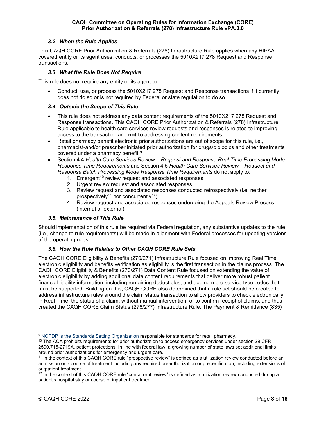### *3.2. When the Rule Applies*

<span id="page-7-0"></span>This CAQH CORE Prior Authorization & Referrals (278) Infrastructure Rule applies when any HIPAAcovered entity or its agent uses, conducts, or processes the 5010X217 278 Request and Response transactions.

# *3.3. What the Rule Does Not Require*

<span id="page-7-1"></span>This rule does not require any entity or its agent to:

• Conduct, use, or process the 5010X217 278 Request and Response transactions if it currently does not do so or is not required by Federal or state regulation to do so.

# <span id="page-7-2"></span>*3.4. Outside the Scope of This Rule*

- This rule does not address any data content requirements of the 5010X217 278 Request and Response transactions. This CAQH CORE Prior Authorization & Referrals (278) Infrastructure Rule applicable to health care services review requests and responses is related to improving access to the transaction and **not to** addressing content requirements.
- Retail pharmacy benefit electronic prior authorizations are out of scope for this rule, i.e., pharmacist-and/or prescriber initiated prior authorization for drugs/biologics and other treatments covered under a pharmacy benefit.[9](#page-7-5)
- Section 4.4 *Health Care Services Review – Request and Response Real Time Processing Mode Response Time Requirements* and Section 4.5 *Health Care Services Review – Request and Response Batch Processing Mode Response Time Requirements* do not apply to:
	- 1. Emergent<sup>[10](#page-7-6)</sup> review request and associated responses
	- 2. Urgent review request and associated responses
	- 3. Review request and associated responses conducted retrospectively (i.e. neither prospectively<sup>[11](#page-7-7)</sup> nor concurrently<sup>[12](#page-7-8)</sup>)
	- 4. Review request and associated responses undergoing the Appeals Review Process (internal or external)

#### *3.5. Maintenance of This Rule*

<span id="page-7-3"></span>Should implementation of this rule be required via Federal regulation, any substantive updates to the rule (i.e., change to rule requirements) will be made in alignment with Federal processes for updating versions of the operating rules.

# *3.6. How the Rule Relates to Other CAQH CORE Rule Sets*

<span id="page-7-4"></span>The CAQH CORE Eligibility & Benefits (270/271) Infrastructure Rule focused on improving Real Time electronic eligibility and benefits verification as eligibility is the first transaction in the claims process. The CAQH CORE Eligibility & Benefits (270/271) Data Content Rule focused on extending the value of electronic eligibility by adding additional data content requirements that deliver more robust patient financial liability information, including remaining deductibles, and adding more service type codes that must be supported. Building on this, CAQH CORE also determined that a rule set should be created to address infrastructure rules around the claim status transaction to allow providers to check electronically, in Real Time, the status of a claim, without manual intervention, or to confirm receipt of claims, and thus created the CAQH CORE Claim Status (276/277) Infrastructure Rule. The Payment & Remittance (835)

<span id="page-7-5"></span><sup>&</sup>lt;sup>9</sup> [NCPDP is the Standards Setting Organization](https://ncpdp.org/Standards-Development/Standards-Information) responsible for standards for retail pharmacy.

<span id="page-7-6"></span><sup>&</sup>lt;sup>10</sup> The ACA prohibits requirements for prior authorization to access emergency services under section 29 CFR 2590.715-2719A, patient protections. In line with federal law, a growing number of state laws set additional limits around prior authorizations for emergency and urgent care.

<span id="page-7-7"></span><sup>11</sup> In the context of this CAQH CORE rule "prospective review" is defined as a utilization review conducted before an admission or a course of treatment including any required preauthorization or precertification, including extensions of outpatient treatment.

<span id="page-7-8"></span> $12$  In the context of this CAQH CORE rule "concurrent review" is defined as a utilization review conducted during a patient's hospital stay or course of inpatient treatment.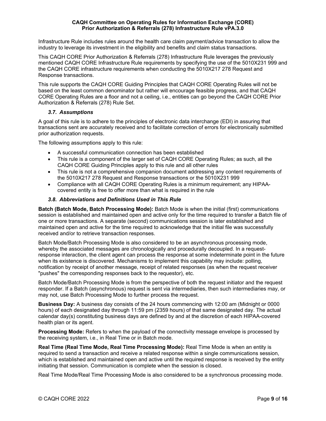Infrastructure Rule includes rules around the health care claim payment/advice transaction to allow the industry to leverage its investment in the eligibility and benefits and claim status transactions.

This CAQH CORE Prior Authorization & Referrals (278) Infrastructure Rule leverages the previously mentioned CAQH CORE Infrastructure Rule requirements by specifying the use of the 5010X231 999 and the CAQH CORE infrastructure requirements when conducting the 5010X217 278 Request and Response transactions.

This rule supports the CAQH CORE Guiding Principles that CAQH CORE Operating Rules will not be based on the least common denominator but rather will encourage feasible progress, and that CAQH CORE Operating Rules are a floor and not a ceiling, i.e., entities can go beyond the CAQH CORE Prior Authorization & Referrals (278) Rule Set.

# *3.7. Assumptions*

<span id="page-8-0"></span>A goal of this rule is to adhere to the principles of electronic data interchange (EDI) in assuring that transactions sent are accurately received and to facilitate correction of errors for electronically submitted prior authorization requests.

The following assumptions apply to this rule:

- A successful communication connection has been established
- This rule is a component of the larger set of CAQH CORE Operating Rules; as such, all the CAQH CORE Guiding Principles apply to this rule and all other rules
- This rule is not a comprehensive companion document addressing any content requirements of the 5010X217 278 Request and Response transactions or the 5010X231 999
- Compliance with all CAQH CORE Operating Rules is a minimum requirement; any HIPAAcovered entity is free to offer more than what is required in the rule

# *3.8. Abbreviations and Definitions Used in This Rule*

<span id="page-8-1"></span>**Batch (Batch Mode, Batch Processing Mode):** Batch Mode is when the initial (first) communications session is established and maintained open and active only for the time required to transfer a Batch file of one or more transactions. A separate (second) communications session is later established and maintained open and active for the time required to acknowledge that the initial file was successfully received and/or to retrieve transaction responses.

Batch Mode/Batch Processing Mode is also considered to be an asynchronous processing mode, whereby the associated messages are chronologically and procedurally decoupled. In a requestresponse interaction, the client agent can process the response at some indeterminate point in the future when its existence is discovered. Mechanisms to implement this capability may include: polling. notification by receipt of another message, receipt of related responses (as when the request receiver "pushes" the corresponding responses back to the requestor), etc.

Batch Mode/Batch Processing Mode is from the perspective of both the request initiator and the request responder. If a Batch (asynchronous) request is sent via intermediaries, then such intermediaries may, or may not, use Batch Processing Mode to further process the request.

**Business Day:** A business day consists of the 24 hours commencing with 12:00 am (Midnight or 0000 hours) of each designated day through 11:59 pm (2359 hours) of that same designated day. The actual calendar day(s) constituting business days are defined by and at the discretion of each HIPAA-covered health plan or its agent.

**Processing Mode:** Refers to when the payload of the connectivity message envelope is processed by the receiving system, i.e., in Real Time or in Batch mode.

**Real Time (Real Time Mode, Real Time Processing Mode):** Real Time Mode is when an entity is required to send a transaction and receive a related response within a single communications session, which is established and maintained open and active until the required response is received by the entity initiating that session. Communication is complete when the session is closed.

Real Time Mode/Real Time Processing Mode is also considered to be a synchronous processing mode.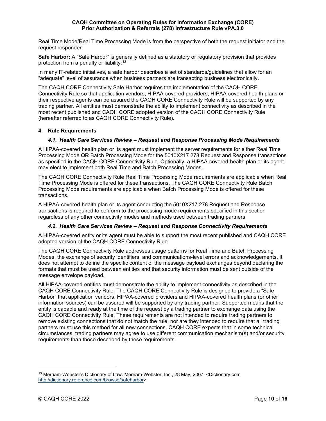Real Time Mode/Real Time Processing Mode is from the perspective of both the request initiator and the request responder.

**Safe Harbor:** A "Safe Harbor" is generally defined as a statutory or regulatory provision that provides protection from a penalty or liability.[13](#page-9-3)

In many IT-related initiatives, a safe harbor describes a set of standards/guidelines that allow for an "adequate" level of assurance when business partners are transacting business electronically.

The CAQH CORE Connectivity Safe Harbor requires the implementation of the CAQH CORE Connectivity Rule so that application vendors, HIPAA-covered providers, HIPAA-covered health plans or their respective agents can be assured the CAQH CORE Connectivity Rule will be supported by any trading partner. All entities must demonstrate the ability to implement connectivity as described in the most recent published and CAQH CORE adopted version of the CAQH CORE Connectivity Rule (hereafter referred to as CAQH CORE Connectivity Rule).

#### <span id="page-9-1"></span><span id="page-9-0"></span>**4. Rule Requirements**

# *4.1. Health Care Services Review – Request and Response Processing Mode Requirements*

A HIPAA-covered health plan or its agent must implement the server requirements for either Real Time Processing Mode **OR** Batch Processing Mode for the 5010X217 278 Request and Response transactions as specified in the CAQH CORE Connectivity Rule. Optionally, a HIPAA-covered health plan or its agent may elect to implement both Real Time and Batch Processing Modes.

The CAQH CORE Connectivity Rule Real Time Processing Mode requirements are applicable when Real Time Processing Mode is offered for these transactions. The CAQH CORE Connectivity Rule Batch Processing Mode requirements are applicable when Batch Processing Mode is offered for these transactions.

A HIPAA-covered health plan or its agent conducting the 5010X217 278 Request and Response transactions is required to conform to the processing mode requirements specified in this section regardless of any other connectivity modes and methods used between trading partners.

#### *4.2. Health Care Services Review – Request and Response Connectivity Requirements*

<span id="page-9-2"></span>A HIPAA-covered entity or its agent must be able to support the most recent published and CAQH CORE adopted version of the CAQH CORE Connectivity Rule.

The CAQH CORE Connectivity Rule addresses usage patterns for Real Time and Batch Processing Modes, the exchange of security identifiers, and communications-level errors and acknowledgements. It does not attempt to define the specific content of the message payload exchanges beyond declaring the formats that must be used between entities and that security information must be sent outside of the message envelope payload.

All HIPAA-covered entities must demonstrate the ability to implement connectivity as described in the CAQH CORE Connectivity Rule. The CAQH CORE Connectivity Rule is designed to provide a "Safe Harbor" that application vendors, HIPAA-covered providers and HIPAA-covered health plans (or other information sources) can be assured will be supported by any trading partner. Supported means that the entity is capable and ready at the time of the request by a trading partner to exchange data using the CAQH CORE Connectivity Rule. These requirements are not intended to require trading partners to remove existing connections that do not match the rule, nor are they intended to require that all trading partners must use this method for all new connections. CAQH CORE expects that in some technical circumstances, trading partners may agree to use different communication mechanism(s) and/or security requirements than those described by these requirements.

<span id="page-9-3"></span><sup>&</sup>lt;sup>13</sup> Merriam-Webster's Dictionary of Law. Merriam-Webster, Inc., 28 May, 2007. <Dictionary.com [http://dictionary.reference.com/browse/safeharbor>](http://dictionary.reference.com/browse/safeharbor)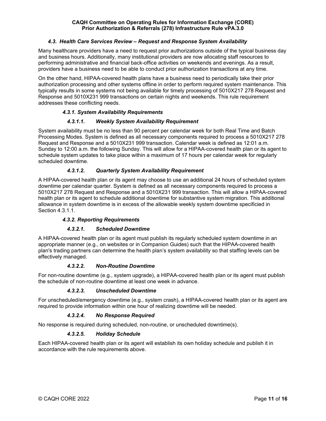#### *4.3. Health Care Services Review – Request and Response System Availability*

<span id="page-10-0"></span>Many healthcare providers have a need to request prior authorizations outside of the typical business day and business hours. Additionally, many institutional providers are now allocating staff resources to performing administrative and financial back-office activities on weekends and evenings. As a result, providers have a business need to be able to conduct prior authorization transactions at any time.

On the other hand, HIPAA-covered health plans have a business need to periodically take their prior authorization processing and other systems offline in order to perform required system maintenance. This typically results in some systems not being available for timely processing of 5010X217 278 Request and Response and 5010X231 999 transactions on certain nights and weekends. This rule requirement addresses these conflicting needs.

# *4.3.1. System Availability Requirements*

# <span id="page-10-1"></span>*4.3.1.1. Weekly System Availability Requirement*

System availability must be no less than 90 percent per calendar week for both Real Time and Batch Processing Modes. System is defined as all necessary components required to process a 5010X217 278 Request and Response and a 5010X231 999 transaction. Calendar week is defined as 12:01 a.m. Sunday to 12:00 a.m. the following Sunday. This will allow for a HIPAA-covered health plan or its agent to schedule system updates to take place within a maximum of 17 hours per calendar week for regularly scheduled downtime.

# *4.3.1.2. Quarterly System Availability Requirement*

A HIPAA-covered health plan or its agent may choose to use an additional 24 hours of scheduled system downtime per calendar quarter. System is defined as all necessary components required to process a 5010X217 278 Request and Response and a 5010X231 999 transaction. This will allow a HIPAA-covered health plan or its agent to schedule additional downtime for substantive system migration. This additional allowance in system downtime is in excess of the allowable weekly system downtime specificied in Section 4.3.1.1.

#### *4.3.2. Reporting Requirements*

#### <span id="page-10-2"></span>*4.3.2.1. Scheduled Downtime*

A HIPAA-covered health plan or its agent must publish its regularly scheduled system downtime in an appropriate manner (e.g., on websites or in Companion Guides) such that the HIPAA-covered health plan's trading partners can determine the health plan's system availability so that staffing levels can be effectively managed.

#### *4.3.2.2. Non-Routine Downtime*

For non-routine downtime (e.g., system upgrade), a HIPAA-covered health plan or its agent must publish the schedule of non-routine downtime at least one week in advance.

#### *4.3.2.3. Unscheduled Downtime*

For unscheduled/emergency downtime (e.g., system crash), a HIPAA-covered health plan or its agent are required to provide information within one hour of realizing downtime will be needed.

#### *4.3.2.4. No Response Required*

No response is required during scheduled, non-routine, or unscheduled downtime(s).

#### *4.3.2.5. Holiday Schedule*

Each HIPAA-covered health plan or its agent will establish its own holiday schedule and publish it in accordance with the rule requirements above.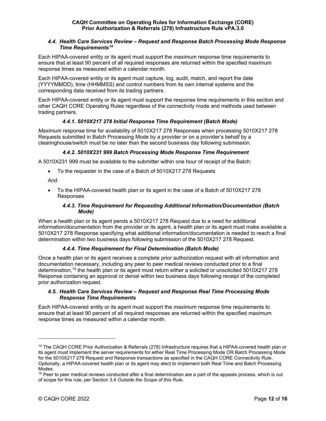#### <span id="page-11-0"></span>*4.4. Health Care Services Review – Request and Response Batch Processing Mode Response Time Requirements[14](#page-11-6)*

Each HIPAA-covered entity or its agent must support the *maximum* response time requirements to ensure that at least 90 percent of all required responses are returned within the specified maximum response times as measured within a calendar month.

Each HIPAA-covered entity or its agent must capture, log, audit, match, and report the date (YYYYMMDD), time (HHMMSS) and control numbers from its own internal systems and the corresponding data received from its trading partners.

Each HIPAA-covered entity or its agent must support the response time requirements in this section and other CAQH CORE Operating Rules regardless of the connectivity mode and methods used between trading partners.

# <span id="page-11-1"></span>*4.4.1. 5010X217 278 Initial Response Time Requirement (Batch Mode)*

*Maximum* response time for availability of 5010X217 278 Responses when processing 5010X217 278 Requests submitted in Batch Processing Mode by a provider or on a provider's behalf by a clearinghouse/switch must be no later than the second business day following submission.

# <span id="page-11-2"></span>*4.4.2. 5010X231 999 Batch Processing Mode Response Time Requirement*

A 5010X231 999 must be available to the submitter within one hour of receipt of the Batch:

• To the requester in the case of a Batch of 5010X217 278 Requests

And

• To the HIPAA-covered health plan or its agent in the case of a Batch of 5010X217 278 Responses

# <span id="page-11-3"></span>*4.4.3. Time Requirement for Requesting Additional Information/Documentation (Batch Mode)*

When a health plan or its agent pends a 5010X217 278 Request due to a need for additional information/documentation from the provider or its agent, a health plan or its agent must make available a 5010X217 278 Response specifying what additional information/documentation is needed to reach a final determination within two business days following submission of the 5010X217 278 Request.

# <span id="page-11-4"></span>*4.4.4. Time Requirement for Final Determination (Batch Mode)*

Once a health plan or its agent receives a complete prior authorization request with all information and documentation necessary, including any peer to peer medical reviews conducted prior to a final determination, [15](#page-11-7) the health plan or its agent must return either a solicited or unsolicited 5010X217 278 Response containing an approval or denial within two business days following receipt of the completed prior authorization request.

# <span id="page-11-5"></span>*4.5. Health Care Services Review – Request and Response Real Time Processing Mode Response Time Requirements*

Each HIPAA-covered entity or its agent must support the *maximum* response time requirements to ensure that at least 90 percent of all required responses are returned within the specified maximum response times as measured within a calendar month.

<span id="page-11-6"></span><sup>14</sup> The CAQH CORE Prior Authorization & Referrals (278) Infrastructure requires that a HIPAA-covered health plan or its agent must implement the server requirements for either Real Time Processing Mode OR Batch Processing Mode for the 5010X217 278 Request and Response transactions as specified in the CAQH CORE Connectivity Rule. Optionally, a HIPAA-covered health plan or its agent may elect to implement both Real Time and Batch Processing Modes.

<span id="page-11-7"></span><sup>&</sup>lt;sup>15</sup> Peer to peer medical reviews conducted after a final determination are a part of the appeals process, which is out of scope for this rule, per Section 3.4 *Outside the Scope of this Rule*.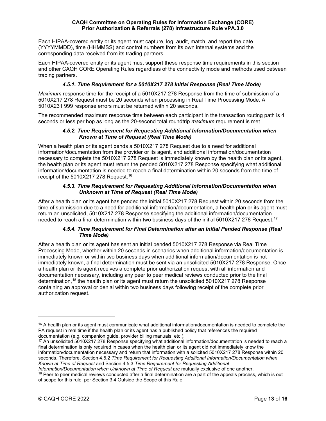Each HIPAA-covered entity or its agent must capture, log, audit, match, and report the date (YYYYMMDD), time (HHMMSS) and control numbers from its own internal systems and the corresponding data received from its trading partners.

Each HIPAA-covered entity or its agent must support these response time requirements in this section and other CAQH CORE Operating Rules regardless of the connectivity mode and methods used between trading partners.

# <span id="page-12-0"></span>*4.5.1. Time Requirement for a 5010X217 278 Initial Response (Real Time Mode)*

*Maximum* response time for the receipt of a 5010X217 278 Response from the time of submission of a 5010X217 278 Request must be 20 seconds when processing in Real Time Processing Mode. A 5010X231 999 response errors must be returned within 20 seconds.

The recommended maximum response time between each participant in the transaction routing path is 4 seconds or less per hop as long as the 20-second total roundtrip *maximum* requirement is met.

### <span id="page-12-1"></span>*4.5.2. Time Requirement for Requesting Additional Information/Documentation when Known at Time of Request (Real Time Mode)*

When a health plan or its agent pends a 5010X217 278 Request due to a need for additional information/documentation from the provider or its agent, and additional information/documentation necessary to complete the 5010X217 278 Request is immediately known by the health plan or its agent, the health plan or its agent must return the pended 5010X217 278 Response specifying what additional information/documentation is needed to reach a final determination within 20 seconds from the time of receipt of the 5010X217 278 Request.<sup>[16](#page-12-4)</sup>

# <span id="page-12-2"></span>*4.5.3. Time Requirement for Requesting Additional Information/Documentation when Unknown at Time of Request (Real Time Mode)*

After a health plan or its agent has pended the initial 5010X217 278 Request within 20 seconds from the time of submission due to a need for additional information/documentation, a health plan or its agent must return an unsolicited, 5010X217 278 Response specifying the additional information/documentation needed to reach a final determination within two business days of the initial 5010X2[17](#page-12-5) 278 Request. $^{\rm 17}$ 

# <span id="page-12-3"></span>*4.5.4. Time Requirement for Final Determination after an Initial Pended Response (Real Time Mode)*

After a health plan or its agent has sent an initial pended 5010X217 278 Response via Real Time Processing Mode, whether within 20 seconds in scenarios when additional information/documentation is immediately known or within two business days when additional information/documentation is not immediately known, a final determination must be sent via an unsolicited 5010X217 278 Response. Once a health plan or its agent receives a complete prior authorization request with all information and documentation necessary, including any peer to peer medical reviews conducted prior to the final determination,<sup>[18](#page-12-6)</sup> the health plan or its agent must return the unsolicited 5010X217 278 Response containing an approval or denial within two business days following receipt of the complete prior authorization request.

*Information/Documentation when Unknown at Time of Request* are mutually exclusive of one another.

<span id="page-12-4"></span> $16$  A health plan or its agent must communicate what additional information/documentation is needed to complete the PA request in real time if the health plan or its agent has a published policy that references the required documentation (e.g. companion guide, provider billing manuals, etc.).

<span id="page-12-5"></span><sup>&</sup>lt;sup>17</sup> An unsolicited 5010X217 278 Response specifying what additional information/documentation is needed to reach a final determination is only required in cases when the health plan or its agent did not immediately know the information/documentation necessary and return that information with a solicited 5010X217 278 Response within 20 seconds. Therefore, Section 4.5.2 *Time Requirement for Requesting Additional Information/Documentation when Known at Time of Request* and Section 4.5.3 *Time Requirement for Requesting Additional* 

<span id="page-12-6"></span> $18$  Peer to peer medical reviews conducted after a final determination are a part of the appeals process, which is out of scope for this rule, per Section 3.4 Outside the Scope of this Rule.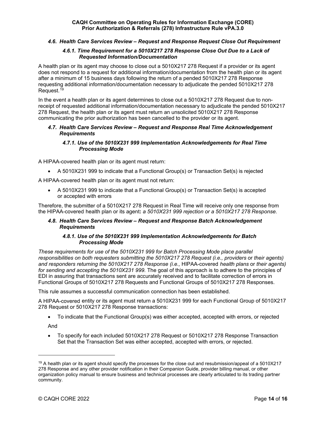# <span id="page-13-0"></span>*4.6. Health Care Services Review – Request and Response Request Close Out Requirement*

#### <span id="page-13-1"></span>*4.6.1. Time Requirement for a 5010X217 278 Response Close Out Due to a Lack of Requested Information/Documentation*

A health plan or its agent may choose to close out a 5010X217 278 Request if a provider or its agent does not respond to a request for additional information/documentation from the health plan or its agent after a minimum of 15 business days following the return of a pended 5010X217 278 Response requesting additional information/documentation necessary to adjudicate the pended 5010X217 278 Request.<sup>[19](#page-13-6)</sup>

In the event a health plan or its agent determines to close out a 5010X217 278 Request due to nonreceipt of requested additional information/documentation necessary to adjudicate the pended 5010X217 278 Request, the health plan or its agent must return an unsolicited 5010X217 278 Response communicating the prior authorization has been cancelled to the provider or its agent.

### <span id="page-13-2"></span>*4.7. Health Care Services Review – Request and Response Real Time Acknowledgement Requirements*

# <span id="page-13-3"></span>*4.7.1. Use of the 5010X231 999 Implementation Acknowledgements for Real Time Processing Mode*

A HIPAA-covered health plan or its agent must return:

• A 5010X231 999 to indicate that a Functional Group(s) or Transaction Set(s) is rejected

A HIPAA-covered health plan or its agent must not return:

• A 5010X231 999 to indicate that a Functional Group(s) or Transaction Set(s) is accepted or accepted with errors

Therefore, the submitter of a 5010X217 278 Request in Real Time will receive only one response from the HIPAA-covered health plan or its agent**:** *a 5010X231 999 rejection or a 5010X217 278 Response.*

# <span id="page-13-4"></span>*4.8. Health Care Services Review – Request and Response Batch Acknowledgement Requirements*

#### <span id="page-13-5"></span>*4.8.1. Use of the 5010X231 999 Implementation Acknowledgements for Batch Processing Mode*

*These requirements for use of the 5010X231 999 for Batch Processing Mode place parallel responsibilities on both requesters submitting the 5010X217 278 Request (i.e., providers* or *their agents) and responders returning the 5010X217 278 Response (i.e.,* HIPAA-covered *health plans* or *their agents) for sending and accepting the 5010X231 999.* The goal of this approach is to adhere to the principles of EDI in assuring that transactions sent are accurately received and to facilitate correction of errors in Functional Groups of 5010X217 278 Requests and Functional Groups of 5010X217 278 Responses.

This rule assumes a successful communication connection has been established.

A HIPAA-covered entity or its agent must return a 5010X231 999 for each Functional Group of 5010X217 278 Request or 5010X217 278 Response transactions:

• To indicate that the Functional Group(s) was either accepted, accepted with errors, or rejected

And

• To specify for each included 5010X217 278 Request or 5010X217 278 Response Transaction Set that the Transaction Set was either accepted, accepted with errors, or rejected.

<span id="page-13-6"></span> $19$  A health plan or its agent should specify the processes for the close out and resubmission/appeal of a 5010X217 278 Response and any other provider notification in their Companion Guide, provider billing manual, or other organization policy manual to ensure business and technical processes are clearly articulated to its trading partner community.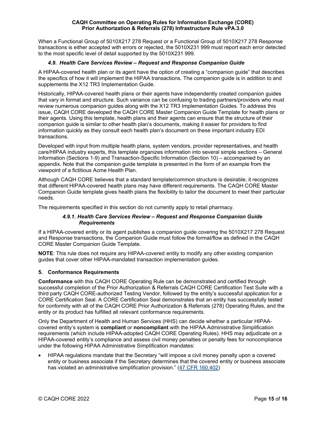When a Functional Group of 5010X217 278 Request or a Functional Group of 5010X217 278 Response transactions is either accepted with errors or rejected, the 5010X231 999 must report each error detected to the most specific level of detail supported by the 5010X231 999.

# *4.9. Health Care Services Review – Request and Response Companion Guide*

<span id="page-14-0"></span>A HIPAA-covered health plan or its agent have the option of creating a "companion guide" that describes the specifics of how it will implement the HIPAA transactions. The companion guide is in addition to and supplements the X12 TR3 Implementation Guide.

Historically, HIPAA-covered health plans or their agents have independently created companion guides that vary in format and structure. Such variance can be confusing to trading partners/providers who must review numerous companion guides along with the X12 TR3 Implementation Guides. To address this issue, CAQH CORE developed the CAQH CORE Master Companion Guide Template for health plans or their agents. Using this template, health plans and their agents can ensure that the structure of their companion guide is similar to other health plan's documents, making it easier for providers to find information quickly as they consult each health plan's document on these important industry EDI transactions.

Developed with input from multiple health plans, system vendors, provider representatives, and health care/HIPAA industry experts, this template organizes information into several simple sections – General Information (Sections 1-9) and Transaction-Specific Information (Section 10) – accompanied by an appendix. Note that the companion guide template is presented in the form of an example from the viewpoint of a fictitious Acme Health Plan.

Although CAQH CORE believes that a standard template/common structure is desirable, it recognizes that different HIPAA-covered health plans may have different requirements. The CAQH CORE Master Companion Guide template gives health plans the flexibility to tailor the document to meet their particular needs.

The requirements specified in this section do not currently apply to retail pharmacy.

# <span id="page-14-1"></span>*4.9.1. Health Care Services Review – Request and Response Companion Guide Requirements*

If a HIPAA-covered entity or its agent publishes a companion guide covering the 5010X217 278 Request and Response transactions, the Companion Guide must follow the format/flow as defined in the CAQH CORE Master Companion Guide Template.

**NOTE**: This rule does not require any HIPAA-covered entity to modify any other existing companion guides that cover other HIPAA-mandated transaction implementation guides.

# <span id="page-14-2"></span>**5. Conformance Requirements**

**Conformance** with this CAQH CORE Operating Rule can be demonstrated and certified through successful completion of the Prior Authorization & Referrals CAQH CORE Certification Test Suite with a third party CAQH CORE-authorized Testing Vendor, followed by the entity's successful application for a CORE Certification Seal. A CORE Certification Seal demonstrates that an entity has successfully tested for conformity with all of the CAQH CORE Prior Authorization & Referrals (278) Operating Rules, and the entity or its product has fulfilled all relevant conformance requirements.

Only the Department of Health and Human Services (HHS) can decide whether a particular HIPAAcovered entity's system is **compliant** or **noncompliant** with the HIPAA Administrative Simplification requirements (which include HIPAA-adopted CAQH CORE Operating Rules). HHS may adjudicate on a HIPAA-covered entity's compliance and assess civil money penalties or penalty fees for noncompliance under the following HIPAA Administrative Simplification mandates:

• HIPAA regulations mandate that the Secretary "will impose a civil money penalty upon a covered entity or business associate if the Secretary determines that the covered entity or business associate has violated an administrative simplification provision." [\(47 CFR 160.402\)](http://www.ecfr.gov/cgi-bin/text-idx?SID=a730411a4bbc271bebf70caefc73615f&node=se45.1.160_1402&rgn=div8)